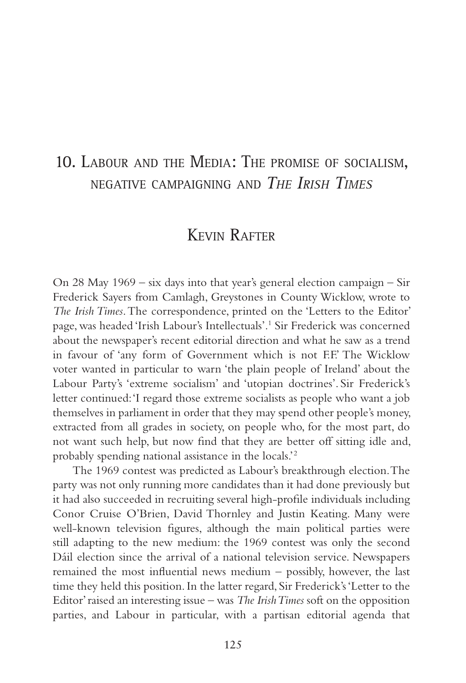# 10. LABOUR AND THE MEDIA: THE PROMISE OF SOCIALISM, NEGATIVE CAMPAIGNING AND *THE IRISH TIMES*

# KEVIN RAFTER

On 28 May 1969 – six days into that year's general election campaign – Sir Frederick Sayers from Camlagh, Greystones in County Wicklow, wrote to *The Irish Times*. The correspondence, printed on the 'Letters to the Editor' page, was headed 'Irish Labour's Intellectuals'.1 Sir Frederick was concerned about the newspaper's recent editorial direction and what he saw as a trend in favour of 'any form of Government which is not F.F.' The Wicklow voter wanted in particular to warn 'the plain people of Ireland' about the Labour Party's 'extreme socialism' and 'utopian doctrines'. Sir Frederick's letter continued: 'I regard those extreme socialists as people who want a job themselves in parliament in order that they may spend other people's money, extracted from all grades in society, on people who, for the most part, do not want such help, but now find that they are better off sitting idle and, probably spending national assistance in the locals.<sup>'2</sup>

The 1969 contest was predicted as Labour's breakthrough election. The party was not only running more candidates than it had done previously but it had also succeeded in recruiting several high-profile individuals including Conor Cruise O'Brien, David Thornley and Justin Keating. Many were well-known television figures, although the main political parties were still adapting to the new medium: the 1969 contest was only the second Dáil election since the arrival of a national television service. Newspapers remained the most influential news medium – possibly, however, the last time they held this position. In the latter regard, Sir Frederick's 'Letter to the Editor' raised an interesting issue – was *The Irish Times* soft on the opposition parties, and Labour in particular, with a partisan editorial agenda that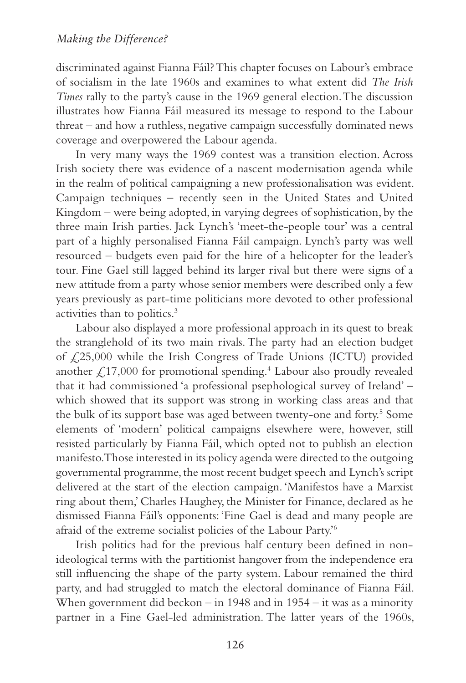discriminated against Fianna Fáil? This chapter focuses on Labour's embrace of socialism in the late 1960s and examines to what extent did *The Irish Times* rally to the party's cause in the 1969 general election. The discussion illustrates how Fianna Fáil measured its message to respond to the Labour threat – and how a ruthless, negative campaign successfully dominated news coverage and overpowered the Labour agenda.

In very many ways the 1969 contest was a transition election. Across Irish society there was evidence of a nascent modernisation agenda while in the realm of political campaigning a new professionalisation was evident. Campaign techniques – recently seen in the United States and United Kingdom – were being adopted, in varying degrees of sophistication, by the three main Irish parties. Jack Lynch's 'meet-the-people tour' was a central part of a highly personalised Fianna Fáil campaign. Lynch's party was well resourced – budgets even paid for the hire of a helicopter for the leader's tour. Fine Gael still lagged behind its larger rival but there were signs of a new attitude from a party whose senior members were described only a few years previously as part-time politicians more devoted to other professional activities than to politics.3

Labour also displayed a more professional approach in its quest to break the stranglehold of its two main rivals. The party had an election budget of £25,000 while the Irish Congress of Trade Unions (ICTU) provided another  $\text{\textsterling}17,000$  for promotional spending.<sup>4</sup> Labour also proudly revealed that it had commissioned 'a professional psephological survey of Ireland' – which showed that its support was strong in working class areas and that the bulk of its support base was aged between twenty-one and forty.<sup>5</sup> Some elements of 'modern' political campaigns elsewhere were, however, still resisted particularly by Fianna Fáil, which opted not to publish an election manifesto. Those interested in its policy agenda were directed to the outgoing governmental programme, the most recent budget speech and Lynch's script delivered at the start of the election campaign. 'Manifestos have a Marxist ring about them,' Charles Haughey, the Minister for Finance, declared as he dismissed Fianna Fáil's opponents: 'Fine Gael is dead and many people are afraid of the extreme socialist policies of the Labour Party.'6

Irish politics had for the previous half century been defined in nonideological terms with the partitionist hangover from the independence era still influencing the shape of the party system. Labour remained the third party, and had struggled to match the electoral dominance of Fianna Fáil. When government did beckon – in 1948 and in  $1954 -$  it was as a minority partner in a Fine Gael-led administration. The latter years of the 1960s,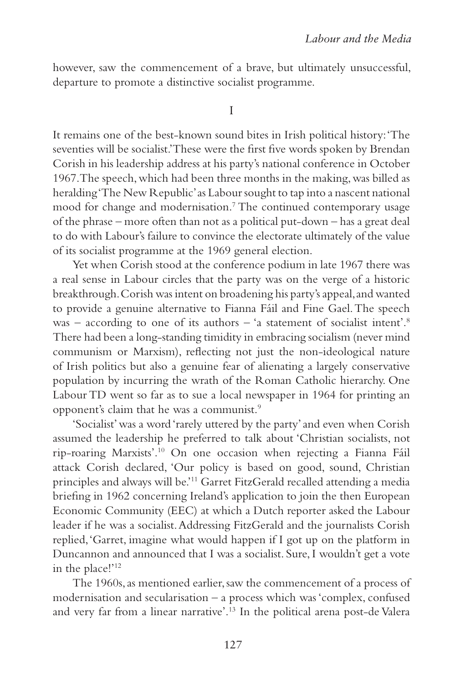however, saw the commencement of a brave, but ultimately unsuccessful, departure to promote a distinctive socialist programme.

I

It remains one of the best-known sound bites in Irish political history: 'The seventies will be socialist.' These were the first five words spoken by Brendan Corish in his leadership address at his party's national conference in October 1967. The speech, which had been three months in the making, was billed as heralding 'The New Republic' as Labour sought to tap into a nascent national mood for change and modernisation.7 The continued contemporary usage of the phrase – more often than not as a political put-down – has a great deal to do with Labour's failure to convince the electorate ultimately of the value of its socialist programme at the 1969 general election.

Yet when Corish stood at the conference podium in late 1967 there was a real sense in Labour circles that the party was on the verge of a historic breakthrough. Corish was intent on broadening his party's appeal, and wanted to provide a genuine alternative to Fianna Fáil and Fine Gael. The speech was – according to one of its authors – 'a statement of socialist intent'.<sup>8</sup> There had been a long-standing timidity in embracing socialism (never mind communism or Marxism), reflecting not just the non-ideological nature of Irish politics but also a genuine fear of alienating a largely conservative population by incurring the wrath of the Roman Catholic hierarchy. One Labour TD went so far as to sue a local newspaper in 1964 for printing an opponent's claim that he was a communist.9

'Socialist' was a word 'rarely uttered by the party' and even when Corish assumed the leadership he preferred to talk about 'Christian socialists, not rip-roaring Marxists'.10 On one occasion when rejecting a Fianna Fáil attack Corish declared, 'Our policy is based on good, sound, Christian principles and always will be.'<sup>11</sup> Garret FitzGerald recalled attending a media briefing in 1962 concerning Ireland's application to join the then European Economic Community (EEC) at which a Dutch reporter asked the Labour leader if he was a socialist. Addressing FitzGerald and the journalists Corish replied, 'Garret, imagine what would happen if I got up on the platform in Duncannon and announced that I was a socialist. Sure, I wouldn't get a vote in the place!'<sup>12</sup>

The 1960s, as mentioned earlier, saw the commencement of a process of modernisation and secularisation – a process which was 'complex, confused and very far from a linear narrative'.13 In the political arena post-de Valera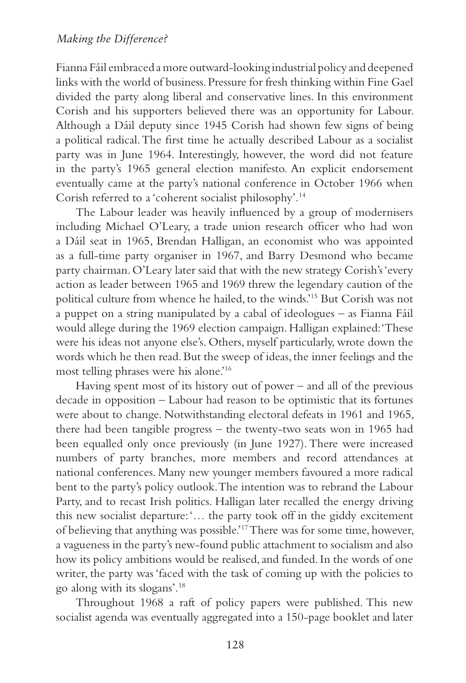Fianna Fáil embraced a more outward-looking industrial policy and deepened links with the world of business. Pressure for fresh thinking within Fine Gael divided the party along liberal and conservative lines. In this environment Corish and his supporters believed there was an opportunity for Labour. Although a Dáil deputy since 1945 Corish had shown few signs of being a political radical. The first time he actually described Labour as a socialist party was in June 1964. Interestingly, however, the word did not feature in the party's 1965 general election manifesto. An explicit endorsement eventually came at the party's national conference in October 1966 when Corish referred to a 'coherent socialist philosophy'.14

The Labour leader was heavily influenced by a group of modernisers including Michael O'Leary, a trade union research officer who had won a Dáil seat in 1965, Brendan Halligan, an economist who was appointed as a full-time party organiser in 1967, and Barry Desmond who became party chairman. O'Leary later said that with the new strategy Corish's 'every action as leader between 1965 and 1969 threw the legendary caution of the political culture from whence he hailed, to the winds.'15 But Corish was not a puppet on a string manipulated by a cabal of ideologues – as Fianna Fáil would allege during the 1969 election campaign. Halligan explained: 'These were his ideas not anyone else's. Others, myself particularly, wrote down the words which he then read. But the sweep of ideas, the inner feelings and the most telling phrases were his alone.'16

Having spent most of its history out of power – and all of the previous decade in opposition – Labour had reason to be optimistic that its fortunes were about to change. Notwithstanding electoral defeats in 1961 and 1965, there had been tangible progress – the twenty-two seats won in 1965 had been equalled only once previously (in June 1927). There were increased numbers of party branches, more members and record attendances at national conferences. Many new younger members favoured a more radical bent to the party's policy outlook. The intention was to rebrand the Labour Party, and to recast Irish politics. Halligan later recalled the energy driving this new socialist departure: '… the party took off in the giddy excitement of believing that anything was possible.'17 There was for some time, however, a vagueness in the party's new-found public attachment to socialism and also how its policy ambitions would be realised, and funded. In the words of one writer, the party was 'faced with the task of coming up with the policies to go along with its slogans'.18

Throughout 1968 a raft of policy papers were published. This new socialist agenda was eventually aggregated into a 150-page booklet and later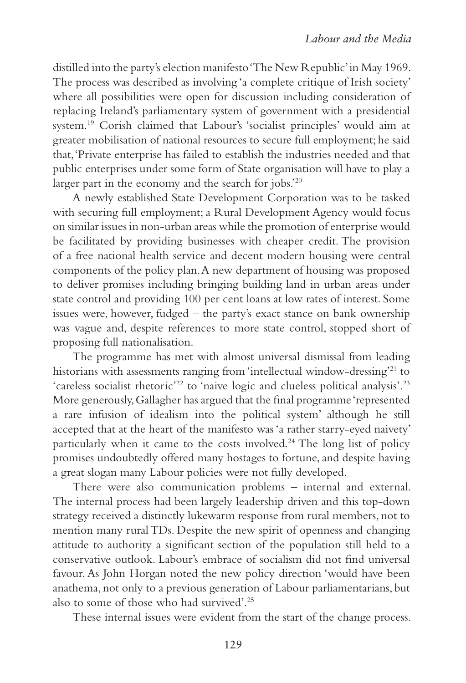distilled into the party's election manifesto 'The New Republic' in May 1969. The process was described as involving 'a complete critique of Irish society' where all possibilities were open for discussion including consideration of replacing Ireland's parliamentary system of government with a presidential system.19 Corish claimed that Labour's 'socialist principles' would aim at greater mobilisation of national resources to secure full employment; he said that, 'Private enterprise has failed to establish the industries needed and that public enterprises under some form of State organisation will have to play a larger part in the economy and the search for jobs.'20

A newly established State Development Corporation was to be tasked with securing full employment; a Rural Development Agency would focus on similar issues in non-urban areas while the promotion of enterprise would be facilitated by providing businesses with cheaper credit. The provision of a free national health service and decent modern housing were central components of the policy plan. A new department of housing was proposed to deliver promises including bringing building land in urban areas under state control and providing 100 per cent loans at low rates of interest. Some issues were, however, fudged – the party's exact stance on bank ownership was vague and, despite references to more state control, stopped short of proposing full nationalisation.

The programme has met with almost universal dismissal from leading historians with assessments ranging from 'intellectual window-dressing'<sup>21</sup> to 'careless socialist rhetoric<sup>'22</sup> to 'naive logic and clueless political analysis'.<sup>23</sup> More generously, Gallagher has argued that the final programme 'represented a rare infusion of idealism into the political system' although he still accepted that at the heart of the manifesto was 'a rather starry-eyed naivety' particularly when it came to the costs involved.<sup>24</sup> The long list of policy promises undoubtedly offered many hostages to fortune, and despite having a great slogan many Labour policies were not fully developed.

There were also communication problems – internal and external. The internal process had been largely leadership driven and this top-down strategy received a distinctly lukewarm response from rural members, not to mention many rural TDs. Despite the new spirit of openness and changing attitude to authority a significant section of the population still held to a conservative outlook. Labour's embrace of socialism did not find universal favour. As John Horgan noted the new policy direction 'would have been anathema, not only to a previous generation of Labour parliamentarians, but also to some of those who had survived'.25

These internal issues were evident from the start of the change process.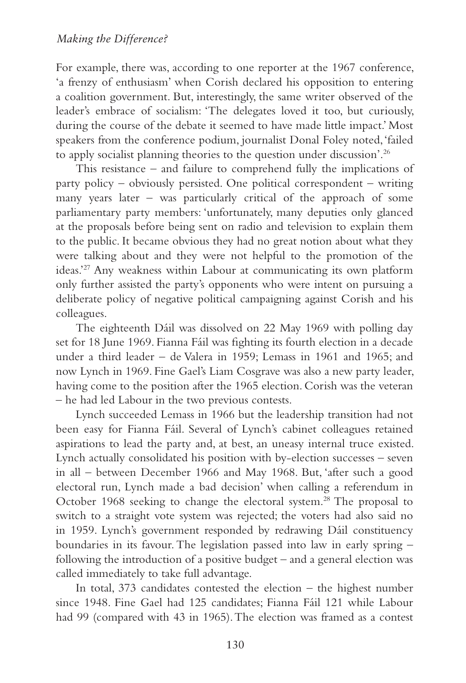For example, there was, according to one reporter at the 1967 conference, 'a frenzy of enthusiasm' when Corish declared his opposition to entering a coalition government. But, interestingly, the same writer observed of the leader's embrace of socialism: 'The delegates loved it too, but curiously, during the course of the debate it seemed to have made little impact.' Most speakers from the conference podium, journalist Donal Foley noted, 'failed to apply socialist planning theories to the question under discussion'.26

This resistance – and failure to comprehend fully the implications of party policy – obviously persisted. One political correspondent – writing many years later – was particularly critical of the approach of some parliamentary party members: 'unfortunately, many deputies only glanced at the proposals before being sent on radio and television to explain them to the public. It became obvious they had no great notion about what they were talking about and they were not helpful to the promotion of the ideas.'27 Any weakness within Labour at communicating its own platform only further assisted the party's opponents who were intent on pursuing a deliberate policy of negative political campaigning against Corish and his colleagues.

The eighteenth Dáil was dissolved on 22 May 1969 with polling day set for 18 June 1969. Fianna Fáil was fighting its fourth election in a decade under a third leader – de Valera in 1959; Lemass in 1961 and 1965; and now Lynch in 1969. Fine Gael's Liam Cosgrave was also a new party leader, having come to the position after the 1965 election. Corish was the veteran – he had led Labour in the two previous contests.

Lynch succeeded Lemass in 1966 but the leadership transition had not been easy for Fianna Fáil. Several of Lynch's cabinet colleagues retained aspirations to lead the party and, at best, an uneasy internal truce existed. Lynch actually consolidated his position with by-election successes – seven in all – between December 1966 and May 1968. But, 'after such a good electoral run, Lynch made a bad decision' when calling a referendum in October 1968 seeking to change the electoral system.<sup>28</sup> The proposal to switch to a straight vote system was rejected; the voters had also said no in 1959. Lynch's government responded by redrawing Dáil constituency boundaries in its favour. The legislation passed into law in early spring – following the introduction of a positive budget – and a general election was called immediately to take full advantage.

In total, 373 candidates contested the election – the highest number since 1948. Fine Gael had 125 candidates; Fianna Fáil 121 while Labour had 99 (compared with 43 in 1965). The election was framed as a contest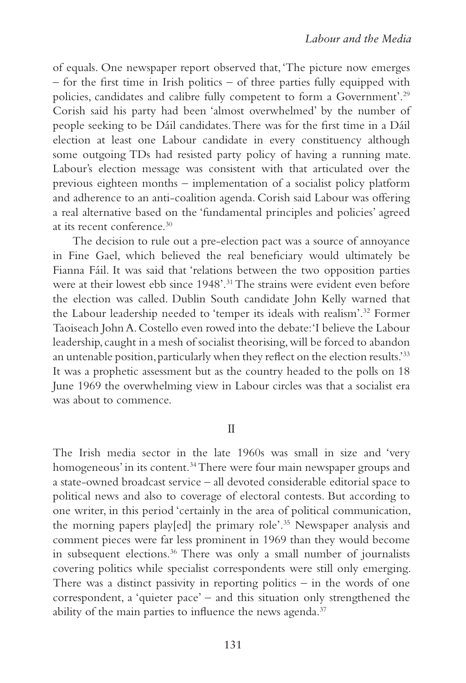of equals. One newspaper report observed that, 'The picture now emerges – for the first time in Irish politics – of three parties fully equipped with policies, candidates and calibre fully competent to form a Government'.<sup>29</sup> Corish said his party had been 'almost overwhelmed' by the number of people seeking to be Dáil candidates. There was for the first time in a Dáil election at least one Labour candidate in every constituency although some outgoing TDs had resisted party policy of having a running mate. Labour's election message was consistent with that articulated over the previous eighteen months – implementation of a socialist policy platform and adherence to an anti-coalition agenda. Corish said Labour was offering a real alternative based on the 'fundamental principles and policies' agreed at its recent conference.30

The decision to rule out a pre-election pact was a source of annoyance in Fine Gael, which believed the real beneficiary would ultimately be Fianna Fáil. It was said that 'relations between the two opposition parties were at their lowest ebb since 1948'.<sup>31</sup> The strains were evident even before the election was called. Dublin South candidate John Kelly warned that the Labour leadership needed to 'temper its ideals with realism'.32 Former Taoiseach John A. Costello even rowed into the debate: 'I believe the Labour leadership, caught in a mesh of socialist theorising, will be forced to abandon an untenable position, particularly when they reflect on the election results.'33 It was a prophetic assessment but as the country headed to the polls on 18 June 1969 the overwhelming view in Labour circles was that a socialist era was about to commence.

II

The Irish media sector in the late 1960s was small in size and 'very homogeneous' in its content.<sup>34</sup> There were four main newspaper groups and a state-owned broadcast service – all devoted considerable editorial space to political news and also to coverage of electoral contests. But according to one writer, in this period 'certainly in the area of political communication, the morning papers play[ed] the primary role'.35 Newspaper analysis and comment pieces were far less prominent in 1969 than they would become in subsequent elections.<sup>36</sup> There was only a small number of journalists covering politics while specialist correspondents were still only emerging. There was a distinct passivity in reporting politics  $-$  in the words of one correspondent, a 'quieter pace' – and this situation only strengthened the ability of the main parties to influence the news agenda.<sup>37</sup>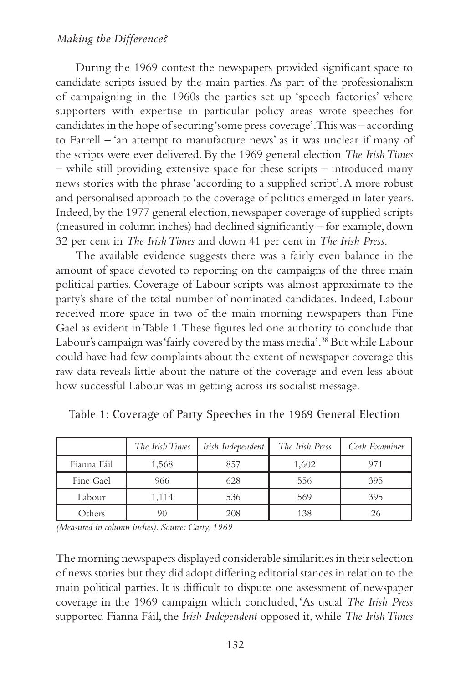# *Making the Difference?*

During the 1969 contest the newspapers provided significant space to candidate scripts issued by the main parties. As part of the professionalism of campaigning in the 1960s the parties set up 'speech factories' where supporters with expertise in particular policy areas wrote speeches for candidates in the hope of securing 'some press coverage'. This was – according to Farrell – 'an attempt to manufacture news' as it was unclear if many of the scripts were ever delivered. By the 1969 general election *The Irish Times* – while still providing extensive space for these scripts – introduced many news stories with the phrase 'according to a supplied script'. A more robust and personalised approach to the coverage of politics emerged in later years. Indeed, by the 1977 general election, newspaper coverage of supplied scripts (measured in column inches) had declined significantly – for example, down 32 per cent in *The Irish Times* and down 41 per cent in *The Irish Press*.

The available evidence suggests there was a fairly even balance in the amount of space devoted to reporting on the campaigns of the three main political parties. Coverage of Labour scripts was almost approximate to the party's share of the total number of nominated candidates. Indeed, Labour received more space in two of the main morning newspapers than Fine Gael as evident in Table 1. These figures led one authority to conclude that Labour's campaign was 'fairly covered by the mass media'.<sup>38</sup> But while Labour could have had few complaints about the extent of newspaper coverage this raw data reveals little about the nature of the coverage and even less about how successful Labour was in getting across its socialist message.

|             | The Irish Times | Irish Independent | The Irish Press | Cork Examiner |
|-------------|-----------------|-------------------|-----------------|---------------|
| Fianna Fáil | 1,568           | 857               | 1,602           |               |
| Fine Gael   | 966             | 628               | 556             | 395           |
| Labour      | 1.114           | 536               | 569             | 395           |
| Others      | 90              | 208               | 138             | 26            |

Table 1: Coverage of Party Speeches in the 1969 General Election

*(Measured in column inches). Source: Carty, 1969*

The morning newspapers displayed considerable similarities in their selection of news stories but they did adopt differing editorial stances in relation to the main political parties. It is difficult to dispute one assessment of newspaper coverage in the 1969 campaign which concluded, 'As usual *The Irish Press*  supported Fianna Fáil, the *Irish Independent* opposed it, while *The Irish Times*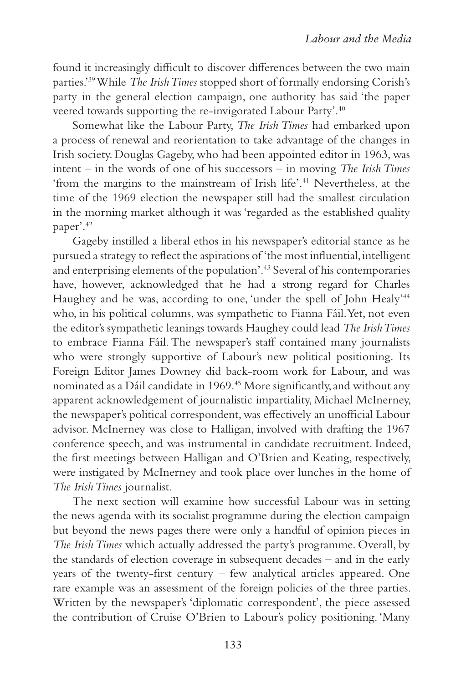found it increasingly difficult to discover differences between the two main parties.'39 While *The Irish Times* stopped short of formally endorsing Corish's party in the general election campaign, one authority has said 'the paper veered towards supporting the re-invigorated Labour Party'.<sup>40</sup>

Somewhat like the Labour Party, *The Irish Times* had embarked upon a process of renewal and reorientation to take advantage of the changes in Irish society. Douglas Gageby, who had been appointed editor in 1963, was intent – in the words of one of his successors – in moving *The Irish Times* 'from the margins to the mainstream of Irish life'.41 Nevertheless, at the time of the 1969 election the newspaper still had the smallest circulation in the morning market although it was 'regarded as the established quality paper'.42

Gageby instilled a liberal ethos in his newspaper's editorial stance as he pursued a strategy to reflect the aspirations of 'the most influential, intelligent and enterprising elements of the population'.43 Several of his contemporaries have, however, acknowledged that he had a strong regard for Charles Haughey and he was, according to one, 'under the spell of John Healy'44 who, in his political columns, was sympathetic to Fianna Fáil. Yet, not even the editor's sympathetic leanings towards Haughey could lead *The Irish Times* to embrace Fianna Fáil. The newspaper's staff contained many journalists who were strongly supportive of Labour's new political positioning. Its Foreign Editor James Downey did back-room work for Labour, and was nominated as a Dáil candidate in 1969.<sup>45</sup> More significantly, and without any apparent acknowledgement of journalistic impartiality, Michael McInerney, the newspaper's political correspondent, was effectively an unofficial Labour advisor. McInerney was close to Halligan, involved with drafting the 1967 conference speech, and was instrumental in candidate recruitment. Indeed, the first meetings between Halligan and O'Brien and Keating, respectively, were instigated by McInerney and took place over lunches in the home of *The Irish Times* journalist.

The next section will examine how successful Labour was in setting the news agenda with its socialist programme during the election campaign but beyond the news pages there were only a handful of opinion pieces in *The Irish Times* which actually addressed the party's programme. Overall, by the standards of election coverage in subsequent decades – and in the early years of the twenty-first century – few analytical articles appeared. One rare example was an assessment of the foreign policies of the three parties. Written by the newspaper's 'diplomatic correspondent', the piece assessed the contribution of Cruise O'Brien to Labour's policy positioning. 'Many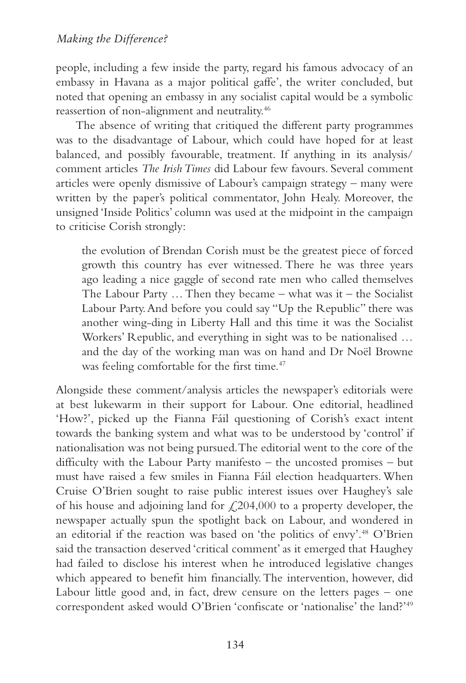people, including a few inside the party, regard his famous advocacy of an embassy in Havana as a major political gaffe', the writer concluded, but noted that opening an embassy in any socialist capital would be a symbolic reassertion of non-alignment and neutrality.46

The absence of writing that critiqued the different party programmes was to the disadvantage of Labour, which could have hoped for at least balanced, and possibly favourable, treatment. If anything in its analysis/ comment articles *The Irish Times* did Labour few favours. Several comment articles were openly dismissive of Labour's campaign strategy – many were written by the paper's political commentator, John Healy. Moreover, the unsigned 'Inside Politics' column was used at the midpoint in the campaign to criticise Corish strongly:

the evolution of Brendan Corish must be the greatest piece of forced growth this country has ever witnessed. There he was three years ago leading a nice gaggle of second rate men who called themselves The Labour Party … Then they became – what was it – the Socialist Labour Party. And before you could say "Up the Republic" there was another wing-ding in Liberty Hall and this time it was the Socialist Workers' Republic, and everything in sight was to be nationalised … and the day of the working man was on hand and Dr Noël Browne was feeling comfortable for the first time.<sup>47</sup>

Alongside these comment/analysis articles the newspaper's editorials were at best lukewarm in their support for Labour. One editorial, headlined 'How?', picked up the Fianna Fáil questioning of Corish's exact intent towards the banking system and what was to be understood by 'control' if nationalisation was not being pursued. The editorial went to the core of the difficulty with the Labour Party manifesto – the uncosted promises – but must have raised a few smiles in Fianna Fáil election headquarters. When Cruise O'Brien sought to raise public interest issues over Haughey's sale of his house and adjoining land for  $\mathcal{L}204,000$  to a property developer, the newspaper actually spun the spotlight back on Labour, and wondered in an editorial if the reaction was based on 'the politics of envy'.48 O'Brien said the transaction deserved 'critical comment' as it emerged that Haughey had failed to disclose his interest when he introduced legislative changes which appeared to benefit him financially. The intervention, however, did Labour little good and, in fact, drew censure on the letters pages – one correspondent asked would O'Brien 'confiscate or 'nationalise' the land?'49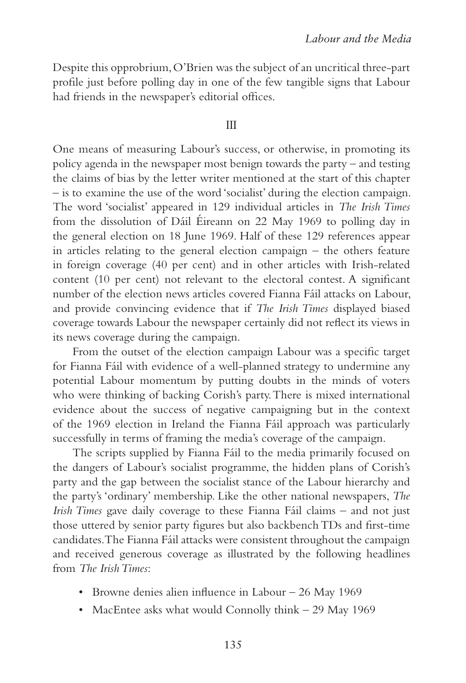Despite this opprobrium, O'Brien was the subject of an uncritical three-part profile just before polling day in one of the few tangible signs that Labour had friends in the newspaper's editorial offices.

#### III

One means of measuring Labour's success, or otherwise, in promoting its policy agenda in the newspaper most benign towards the party – and testing the claims of bias by the letter writer mentioned at the start of this chapter – is to examine the use of the word 'socialist' during the election campaign. The word 'socialist' appeared in 129 individual articles in *The Irish Times* from the dissolution of Dáil Éireann on 22 May 1969 to polling day in the general election on 18 June 1969. Half of these 129 references appear in articles relating to the general election campaign – the others feature in foreign coverage (40 per cent) and in other articles with Irish-related content (10 per cent) not relevant to the electoral contest. A significant number of the election news articles covered Fianna Fáil attacks on Labour, and provide convincing evidence that if *The Irish Times* displayed biased coverage towards Labour the newspaper certainly did not reflect its views in its news coverage during the campaign.

From the outset of the election campaign Labour was a specific target for Fianna Fáil with evidence of a well-planned strategy to undermine any potential Labour momentum by putting doubts in the minds of voters who were thinking of backing Corish's party. There is mixed international evidence about the success of negative campaigning but in the context of the 1969 election in Ireland the Fianna Fáil approach was particularly successfully in terms of framing the media's coverage of the campaign.

The scripts supplied by Fianna Fáil to the media primarily focused on the dangers of Labour's socialist programme, the hidden plans of Corish's party and the gap between the socialist stance of the Labour hierarchy and the party's 'ordinary' membership. Like the other national newspapers, *The Irish Times* gave daily coverage to these Fianna Fáil claims – and not just those uttered by senior party figures but also backbench TDs and first-time candidates. The Fianna Fáil attacks were consistent throughout the campaign and received generous coverage as illustrated by the following headlines from *The Irish Times*:

- Browne denies alien influence in Labour 26 May 1969
- MacEntee asks what would Connolly think 29 May 1969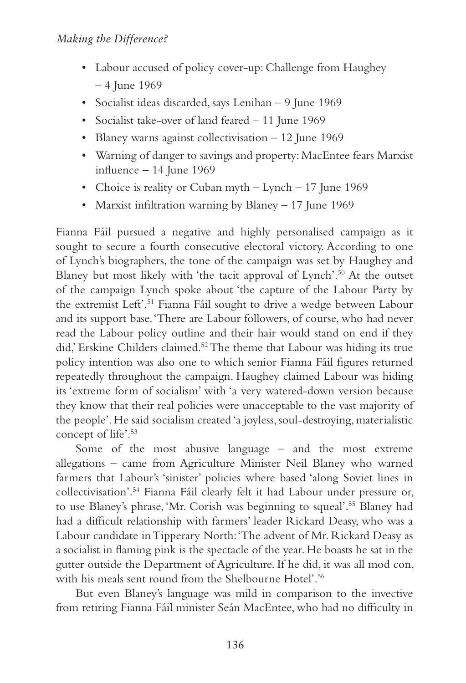- Labour accused of policy cover-up: Challenge from Haughey – 4 June 1969
- Socialist ideas discarded, says Lenihan 9 June 1969
- Socialist take-over of land feared 11 June 1969
- Blaney warns against collectivisation 12 June 1969
- Warning of danger to savings and property: MacEntee fears Marxist influence  $-14$  June 1969
- Choice is reality or Cuban myth Lynch 17 June 1969
- Marxist infiltration warning by Blaney 17 June 1969

Fianna Fáil pursued a negative and highly personalised campaign as it sought to secure a fourth consecutive electoral victory. According to one of Lynch's biographers, the tone of the campaign was set by Haughey and Blaney but most likely with 'the tacit approval of Lynch'.50 At the outset of the campaign Lynch spoke about 'the capture of the Labour Party by the extremist Left'.<sup>51</sup> Fianna Fáil sought to drive a wedge between Labour and its support base. 'There are Labour followers, of course, who had never read the Labour policy outline and their hair would stand on end if they did,' Erskine Childers claimed.<sup>52</sup> The theme that Labour was hiding its true policy intention was also one to which senior Fianna Fáil figures returned repeatedly throughout the campaign. Haughey claimed Labour was hiding its 'extreme form of socialism' with 'a very watered-down version because they know that their real policies were unacceptable to the vast majority of the people'. He said socialism created 'a joyless, soul-destroying, materialistic concept of life'.53

Some of the most abusive language – and the most extreme allegations – came from Agriculture Minister Neil Blaney who warned farmers that Labour's 'sinister' policies where based 'along Soviet lines in collectivisation'.54 Fianna Fáil clearly felt it had Labour under pressure or, to use Blaney's phrase, 'Mr. Corish was beginning to squeal'.<sup>55</sup> Blaney had had a difficult relationship with farmers' leader Rickard Deasy, who was a Labour candidate in Tipperary North: 'The advent of Mr. Rickard Deasy as a socialist in flaming pink is the spectacle of the year. He boasts he sat in the gutter outside the Department of Agriculture. If he did, it was all mod con, with his meals sent round from the Shelbourne Hotel'.56

But even Blaney's language was mild in comparison to the invective from retiring Fianna Fáil minister Seán MacEntee, who had no difficulty in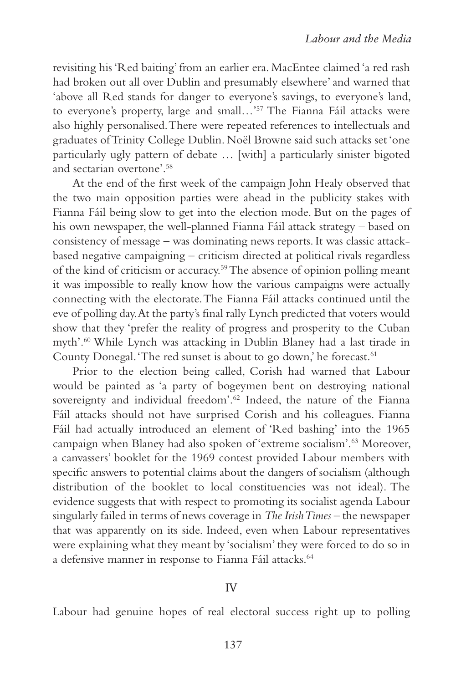revisiting his 'Red baiting' from an earlier era. MacEntee claimed 'a red rash had broken out all over Dublin and presumably elsewhere' and warned that 'above all Red stands for danger to everyone's savings, to everyone's land, to everyone's property, large and small…'57 The Fianna Fáil attacks were also highly personalised. There were repeated references to intellectuals and graduates of Trinity College Dublin. Noël Browne said such attacks set 'one particularly ugly pattern of debate … [with] a particularly sinister bigoted and sectarian overtone'.58

At the end of the first week of the campaign John Healy observed that the two main opposition parties were ahead in the publicity stakes with Fianna Fáil being slow to get into the election mode. But on the pages of his own newspaper, the well-planned Fianna Fáil attack strategy – based on consistency of message – was dominating news reports. It was classic attackbased negative campaigning – criticism directed at political rivals regardless of the kind of criticism or accuracy.59 The absence of opinion polling meant it was impossible to really know how the various campaigns were actually connecting with the electorate. The Fianna Fáil attacks continued until the eve of polling day. At the party's final rally Lynch predicted that voters would show that they 'prefer the reality of progress and prosperity to the Cuban myth'.60 While Lynch was attacking in Dublin Blaney had a last tirade in County Donegal. 'The red sunset is about to go down,' he forecast.<sup>61</sup>

Prior to the election being called, Corish had warned that Labour would be painted as 'a party of bogeymen bent on destroying national sovereignty and individual freedom'.<sup>62</sup> Indeed, the nature of the Fianna Fáil attacks should not have surprised Corish and his colleagues. Fianna Fáil had actually introduced an element of 'Red bashing' into the 1965 campaign when Blaney had also spoken of 'extreme socialism'.63 Moreover, a canvassers' booklet for the 1969 contest provided Labour members with specific answers to potential claims about the dangers of socialism (although distribution of the booklet to local constituencies was not ideal). The evidence suggests that with respect to promoting its socialist agenda Labour singularly failed in terms of news coverage in *The Irish Times* – the newspaper that was apparently on its side. Indeed, even when Labour representatives were explaining what they meant by 'socialism' they were forced to do so in a defensive manner in response to Fianna Fáil attacks.<sup>64</sup>

### IV

Labour had genuine hopes of real electoral success right up to polling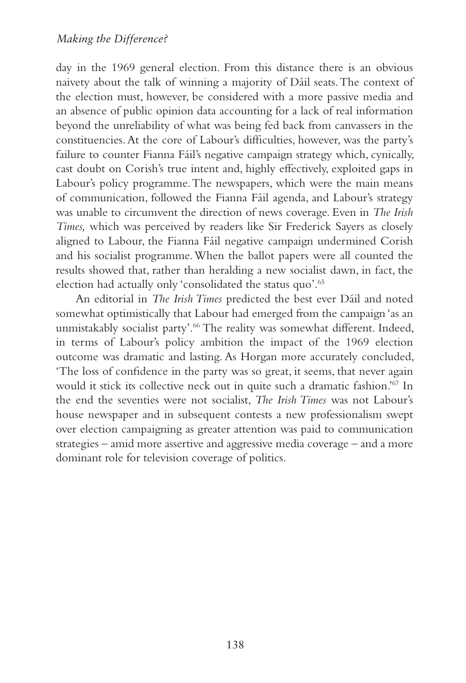day in the 1969 general election. From this distance there is an obvious naivety about the talk of winning a majority of Dáil seats. The context of the election must, however, be considered with a more passive media and an absence of public opinion data accounting for a lack of real information beyond the unreliability of what was being fed back from canvassers in the constituencies. At the core of Labour's difficulties, however, was the party's failure to counter Fianna Fáil's negative campaign strategy which, cynically, cast doubt on Corish's true intent and, highly effectively, exploited gaps in Labour's policy programme. The newspapers, which were the main means of communication, followed the Fianna Fáil agenda, and Labour's strategy was unable to circumvent the direction of news coverage. Even in *The Irish Times,* which was perceived by readers like Sir Frederick Sayers as closely aligned to Labour, the Fianna Fáil negative campaign undermined Corish and his socialist programme. When the ballot papers were all counted the results showed that, rather than heralding a new socialist dawn, in fact, the election had actually only 'consolidated the status quo'.<sup>65</sup>

An editorial in *The Irish Times* predicted the best ever Dáil and noted somewhat optimistically that Labour had emerged from the campaign 'as an unmistakably socialist party'.<sup>66</sup> The reality was somewhat different. Indeed, in terms of Labour's policy ambition the impact of the 1969 election outcome was dramatic and lasting. As Horgan more accurately concluded, 'The loss of confidence in the party was so great, it seems, that never again would it stick its collective neck out in quite such a dramatic fashion.'67 In the end the seventies were not socialist, *The Irish Times* was not Labour's house newspaper and in subsequent contests a new professionalism swept over election campaigning as greater attention was paid to communication strategies – amid more assertive and aggressive media coverage – and a more dominant role for television coverage of politics.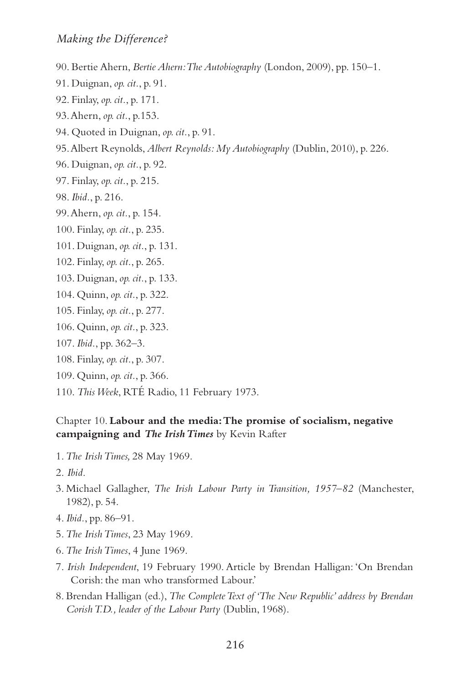- 90. Bertie Ahern, *Bertie Ahern: The Autobiography* (London, 2009), pp. 150–1.
- 91. Duignan, *op. cit.*, p. 91.
- 92. Finlay, *op. cit.*, p. 171.
- 93. Ahern, *op. cit.*, p.153.
- 94. Quoted in Duignan, *op. cit.*, p. 91.
- 95. Albert Reynolds, *Albert Reynolds: My Autobiography* (Dublin, 2010), p. 226.
- 96. Duignan, *op. cit.*, p. 92.
- 97. Finlay, *op. cit.*, p. 215.
- 98. *Ibid.*, p. 216.
- 99. Ahern, *op. cit.*, p. 154.
- 100. Finlay, *op. cit.*, p. 235.
- 101. Duignan, *op. cit.*, p. 131.
- 102. Finlay, *op. cit.*, p. 265.
- 103. Duignan, *op. cit.*, p. 133.
- 104. Quinn, *op. cit.*, p. 322.
- 105. Finlay, *op. cit.*, p. 277.
- 106. Quinn, *op. cit.*, p. 323.
- 107. *Ibid.*, pp. 362–3.
- 108. Finlay, *op. cit.*, p. 307.
- 109. Quinn, *op. cit.*, p. 366.
- 110. *This Week*, RTÉ Radio, 11 February 1973.

# Chapter 10. **Labour and the media: The promise of socialism, negative campaigning and** *The Irish Times* by Kevin Rafter

- 1. *The Irish Times,* 28 May 1969.
- 2. *Ibid.*
- 3. Michael Gallagher, *The Irish Labour Party in Transition, 1957–82* (Manchester, 1982), p. 54.
- 4. *Ibid.*, pp. 86–91.
- 5. *The Irish Times*, 23 May 1969.
- 6. *The Irish Times*, 4 June 1969.
- 7. *Irish Independent*, 19 February 1990. Article by Brendan Halligan: 'On Brendan Corish: the man who transformed Labour.'
- 8. Brendan Halligan (ed.), *The Complete Text of 'The New Republic' address by Brendan Corish T.D., leader of the Labour Party* (Dublin, 1968).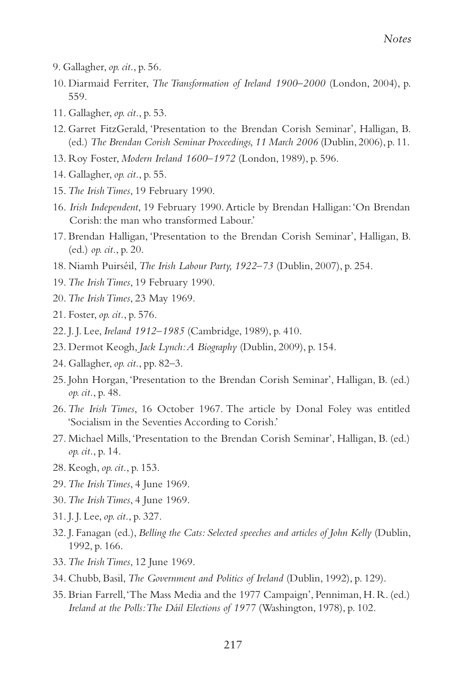- 9. Gallagher, *op. cit.*, p. 56.
- 10. Diarmaid Ferriter, *The Transformation of Ireland 1900–2000* (London, 2004), p. 559.
- 11. Gallagher, *op. cit.*, p. 53.
- 12. Garret FitzGerald, 'Presentation to the Brendan Corish Seminar', Halligan, B. (ed.) *The Brendan Corish Seminar Proceedings, 11 March 2006* (Dublin, 2006), p. 11.
- 13. Roy Foster, *Modern Ireland 1600–1972* (London, 1989), p. 596.
- 14. Gallagher, *op. cit.*, p. 55.
- 15. *The Irish Times*, 19 February 1990.
- 16. *Irish Independent*, 19 February 1990. Article by Brendan Halligan: 'On Brendan Corish: the man who transformed Labour.'
- 17. Brendan Halligan, 'Presentation to the Brendan Corish Seminar', Halligan, B. (ed.) *op. cit.*, p. 20.
- 18. Niamh Puirséil, *The Irish Labour Party, 1922–73* (Dublin, 2007), p. 254.
- 19. *The Irish Times*, 19 February 1990.
- 20. *The Irish Times*, 23 May 1969.
- 21. Foster, *op. cit.*, p. 576.
- 22. J. J. Lee, *Ireland 1912–1985* (Cambridge, 1989), p. 410.
- 23. Dermot Keogh, *Jack Lynch: A Biography* (Dublin, 2009), p. 154.
- 24. Gallagher, *op. cit.*, pp. 82–3.
- 25. John Horgan, 'Presentation to the Brendan Corish Seminar', Halligan, B. (ed.) *op. cit.*, p. 48.
- 26.*The Irish Times*, 16 October 1967. The article by Donal Foley was entitled 'Socialism in the Seventies According to Corish.'
- 27. Michael Mills, 'Presentation to the Brendan Corish Seminar', Halligan, B. (ed.) *op. cit.*, p. 14.
- 28. Keogh, *op. cit.*, p. 153.
- 29. *The Irish Times*, 4 June 1969.
- 30. *The Irish Times*, 4 June 1969.
- 31. J. J. Lee, *op. cit.*, p. 327.
- 32. J. Fanagan (ed.), *Belling the Cats: Selected speeches and articles of John Kelly* (Dublin, 1992, p. 166.
- 33. *The Irish Times*, 12 June 1969.
- 34. Chubb, Basil, *The Government and Politics of Ireland* (Dublin, 1992), p. 129).
- 35. Brian Farrell, 'The Mass Media and the 1977 Campaign', Penniman, H. R. (ed.) *Ireland at the Polls: The Dáil Elections of 1977* (Washington, 1978), p. 102.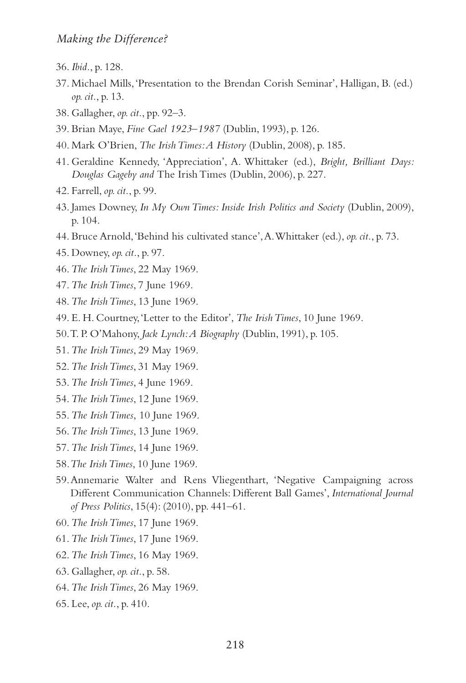- 36. *Ibid.*, p. 128.
- 37. Michael Mills, 'Presentation to the Brendan Corish Seminar', Halligan, B. (ed.) *op. cit.*, p. 13.
- 38. Gallagher, *op. cit.*, pp. 92–3.
- 39. Brian Maye, *Fine Gael 1923–1987* (Dublin, 1993), p. 126.
- 40. Mark O'Brien, *The Irish Times: A History* (Dublin, 2008), p. 185.
- 41. Geraldine Kennedy, 'Appreciation', A. Whittaker (ed.), *Bright, Brilliant Days: Douglas Gageby and* The Irish Times (Dublin, 2006), p. 227.
- 42. Farrell, *op. cit.*, p. 99.
- 43. James Downey, *In My Own Times: Inside Irish Politics and Society* (Dublin, 2009), p. 104.
- 44. Bruce Arnold, 'Behind his cultivated stance', A. Whittaker (ed.), *op. cit.*, p. 73.
- 45. Downey, *op. cit.*, p. 97.
- 46. *The Irish Times*, 22 May 1969.
- 47. *The Irish Times*, 7 June 1969.
- 48. *The Irish Times*, 13 June 1969.
- 49. E. H. Courtney, 'Letter to the Editor', *The Irish Times*, 10 June 1969.
- 50. T. P. O'Mahony, *Jack Lynch: A Biography* (Dublin, 1991), p. 105.
- 51. *The Irish Times*, 29 May 1969.
- 52. *The Irish Times*, 31 May 1969.
- 53. *The Irish Times*, 4 June 1969.
- 54. *The Irish Times*, 12 June 1969.
- 55. *The Irish Times*, 10 June 1969.
- 56. *The Irish Times*, 13 June 1969.
- 57. *The Irish Times*, 14 June 1969.
- 58*. The Irish Times*, 10 June 1969.
- 59. Annemarie Walter and Rens Vliegenthart, 'Negative Campaigning across Different Communication Channels: Different Ball Games', *International Journal of Press Politics*, 15(4): (2010), pp. 441–61.
- 60. *The Irish Times*, 17 June 1969.
- 61. *The Irish Times*, 17 June 1969.
- 62. *The Irish Times*, 16 May 1969.
- 63. Gallagher, *op. cit.*, p. 58.
- 64. *The Irish Times*, 26 May 1969.
- 65. Lee, *op. cit.*, p. 410.